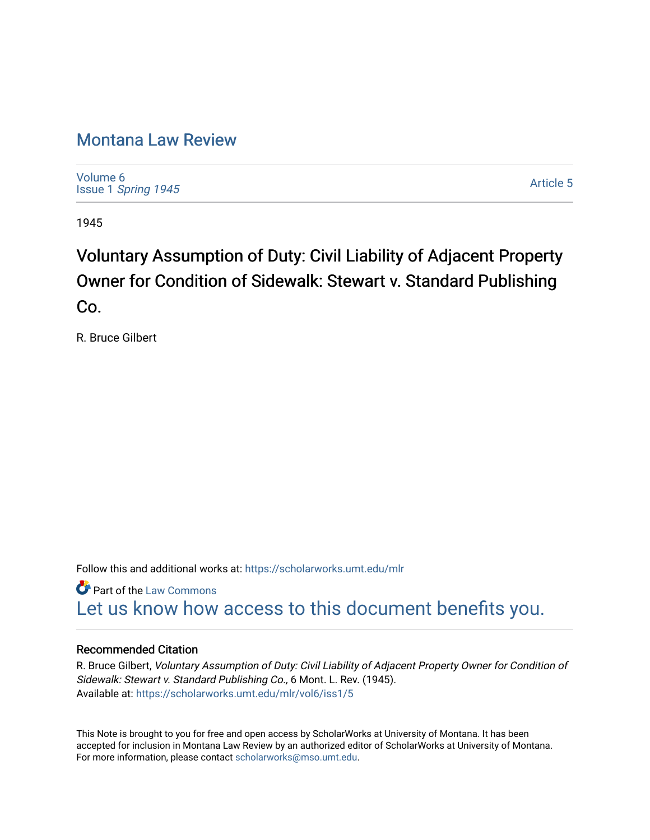## [Montana Law Review](https://scholarworks.umt.edu/mlr)

[Volume 6](https://scholarworks.umt.edu/mlr/vol6) Issue 1 [Spring 1945](https://scholarworks.umt.edu/mlr/vol6/iss1) 

[Article 5](https://scholarworks.umt.edu/mlr/vol6/iss1/5) 

1945

# Voluntary Assumption of Duty: Civil Liability of Adjacent Property Owner for Condition of Sidewalk: Stewart v. Standard Publishing Co.

R. Bruce Gilbert

Follow this and additional works at: [https://scholarworks.umt.edu/mlr](https://scholarworks.umt.edu/mlr?utm_source=scholarworks.umt.edu%2Fmlr%2Fvol6%2Fiss1%2F5&utm_medium=PDF&utm_campaign=PDFCoverPages) 

**Part of the [Law Commons](http://network.bepress.com/hgg/discipline/578?utm_source=scholarworks.umt.edu%2Fmlr%2Fvol6%2Fiss1%2F5&utm_medium=PDF&utm_campaign=PDFCoverPages)** [Let us know how access to this document benefits you.](https://goo.gl/forms/s2rGfXOLzz71qgsB2) 

### Recommended Citation

R. Bruce Gilbert, Voluntary Assumption of Duty: Civil Liability of Adjacent Property Owner for Condition of Sidewalk: Stewart v. Standard Publishing Co., 6 Mont. L. Rev. (1945). Available at: [https://scholarworks.umt.edu/mlr/vol6/iss1/5](https://scholarworks.umt.edu/mlr/vol6/iss1/5?utm_source=scholarworks.umt.edu%2Fmlr%2Fvol6%2Fiss1%2F5&utm_medium=PDF&utm_campaign=PDFCoverPages)

This Note is brought to you for free and open access by ScholarWorks at University of Montana. It has been accepted for inclusion in Montana Law Review by an authorized editor of ScholarWorks at University of Montana. For more information, please contact [scholarworks@mso.umt.edu.](mailto:scholarworks@mso.umt.edu)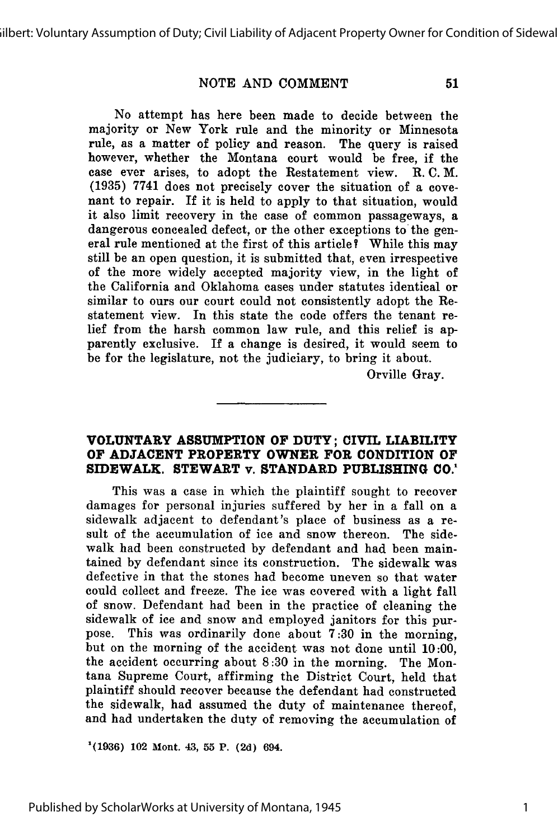#### **NOTE AND COMMENT**

51

No attempt has here been made to decide between the majority or New York rule and the minority or Minnesota rule, as a matter of policy and reason. The query is raised however, whether the Montana court would be free, if the case ever arises, to adopt the Restatement view. R. C. M. (1935) 7741 does not precisely cover the situation of a covenant to repair. If it is held to apply to that situation, would it also limit recovery in the case of common passageways, a dangerous concealed defect, or the other exceptions to the general rule mentioned at the first of this article ? While this may still be an open question, it is submitted that, even irrespective of the more widely accepted majority view, in the light of the California and Oklahoma cases under statutes identical or similar to ours our court could not consistently adopt the Restatement view. In this state the code offers the tenant relief from the harsh common law rule, and this relief is apparently exclusive. If a change is desired, it would seem to be for the legislature, not the judiciary, to bring it about.

Orville Gray.

#### **VOLUNTARY ASSUMPTION OF DUTY; CIVIL LIABILITY OF ADJACENT PROPERTY OWNER FOR CONDITION OF SIDEWALK. STEWART** v. **STANDARD PUBLISHING CO.'**

This was a case in which the plaintiff sought to recover damages for personal injuries suffered **by** her in a fall on a sidewalk adjacent to defendant's place of business as a result of the accumulation of ice and snow thereon. The sidewalk had been constructed **by** defendant and had been maintained **by** defendant since its construction. The sidewalk was defective in that the stones had become uneven so that water could collect and freeze. The ice was covered with a light fall of snow. Defendant had been in the practice of cleaning the sidewalk of ice and snow and employed janitors for this purpose. This was ordinarily done about **7:30** in the morning, but on the morning of the accident was not done until **10:00,** the accident occurring about **8:30** in the morning. The Montana Supreme Court, affirming the District Court, held that plaintiff should recover because the defendant had constructed the sidewalk, had assumed the duty of maintenance thereof, and had undertaken the duty of removing the accumulation of

**'(1936) 102** Mont. **43, 55 P. (2d) 694.**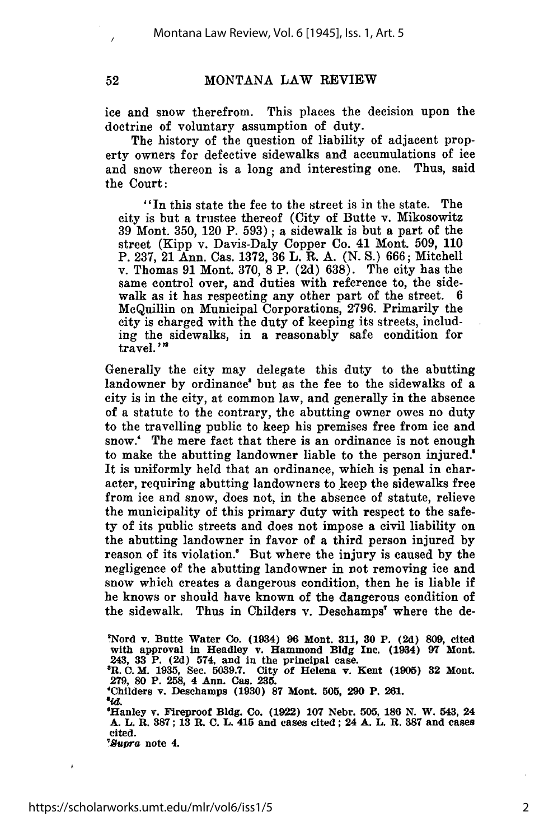52

#### MONTANA LAW REVIEW

ice and snow therefrom. This places the decision upon the doctrine of voluntary assumption of duty.

The history of the question of liability of adjacent property owners for defective sidewalks and accumulations of ice and snow thereon is a long and interesting one. Thus, said the Court:

"In this state the fee to the street is in the state. The city is but a trustee thereof (City of Butte v. Mikosowitz 39 Mont. 350, 120 P. 593); a sidewalk is but a part of the street (Kipp v. Davis-Daly Copper Co. 41 Mont. **509,** 110 P. 237, 21 Ann. Cas. 1372, 36 L. R. A. (N. S.) 666; Mitchell v. Thomas 91 Mont. 370, 8 P. (2d) 638). The city has the same control over, and duties with reference to, the sidewalk as it has respecting any other part of the street. 6 McQuillin on Municipal Corporations, 2796. Primarily the city is charged with the duty of keeping its streets, including the sidewalks, in a reasonably safe condition for travel.'"

Generally the city may delegate this duty to the abutting landowner by ordinance<sup>8</sup> but as the fee to the sidewalks of a city is in the city, at common law, and generally in the absence of a statute to the contrary, the abutting owner owes no duty to the travelling public to keep his premises free from ice and snow.' The mere fact that there is an ordinance is not enough to make the abutting landowner liable to the person injured.' It is uniformly held that an ordinance, which is penal in character, requiring abutting landowners to keep the sidewalks free from ice and snow, does not, in the absence of statute, relieve the municipality of this primary duty with respect to the safety of its public streets and does not impose a civil liability on the abutting landowner in favor of a third person injured by reason of its violation.' But where the injury is caused by the negligence of the abutting landowner in not removing ice and snow which creates a dangerous condition, then he is liable if he knows or should have known of the dangerous condition of the sidewalk. Thus in Childers v. Desehamps' where the de-

'Nord v. Butte Water Co. (1934) **96** Mont. **311, 30** P. **(2d) 809,** cited with approval in Headley v. Hammond **Bldg** Inc. (1934) **97** Mont. 243, **33** P. **(2d)** 574, and **in** the principal case. **\*R. C. M. 1935,** Sec. **5039.7.** City of Helena v. Kent **(1905) 32** Mont. **279, 80** P. **258,** 4 Ann. Cas. **235.** 'Childers v. Deschamps **(1930) 87** Mont. **505, 290** P. 261. *a4.* 'Hanley v. Fireproof **Bldg.** Co. **(1922) 107** Nebr. **505, 186 N.** W. 543, 24 **A. L.** R. **387; 13 R. C.** L. 415 and cases cited; 24 **A.** L. R. **387** and cases cited.

*7upra* note 4.

Á

2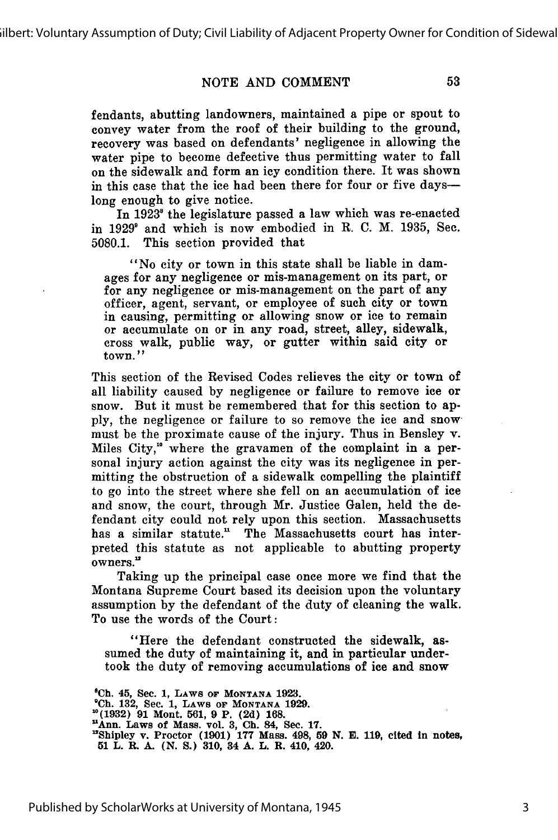#### NOTE AND COMMENT

fendants, abutting landowners, maintained a pipe or spout to convey water from the roof of their building to the ground, recovery was based on defendants' negligence in allowing the water pipe to become defective thus permitting water to fall on the sidewalk and form an icy condition there. It was shown in this case that the ice had been there for four or five dayslong enough to give notice.

In 1923<sup>8</sup> the legislature passed a law which was re-enacted in 1929' and which is now embodied in R. C. M. 1935, Sec. 5080.1. This section provided that

"No city or town in this state shall be liable in damages for any negligence or mis-management on its part, or for any negligence or mis-management on the part of any officer, agent, servant, or employee of such city or town in causing, permitting or allowing snow or ice to remain or accumulate on or in any road, street, alley, sidewalk, cross walk, public way, or gutter within said city or town."

This section of the Revised Codes relieves the city or town of all liability caused by negligence or failure to remove ice or snow. But it must be remembered that for this section to apply, the negligence or failure to so remove the ice and snow must be the proximate cause of the injury. Thus in Bensley v. Miles City,"° where the gravamen of the complaint in a personal injury action against the city was its negligence in permitting the obstruction of a sidewalk compelling the plaintiff to go into the street where she fell on an accumulation of ice and snow, the court, through Mr. Justice Galen, held the defendant city could not rely upon this section. Massachusetts has a similar statute." The Massachusetts court has interpreted this statute as not applicable to abutting property owners."

Taking up the principal case once more we find that the Montana Supreme Court based its decision upon the voluntary assumption by the defendant of the duty of cleaning the walk. To use the words of the Court:

"Here the defendant constructed the sidewalk, assumed the duty of maintaining it, and in particular undertook the duty of removing accumulations of ice and snow

**'Ch. 45,** Sec. **1, LAWS OF MONTANA 1923. 'Ch. 132,** Sec. **1, LAWS OF MONTANA 1929. '0(1932) 91 Mont. 561, 9 P. (2d) 168. 'Ann.** Laws of Mass. vol. **3, Ch. 84, Sec. 17. 'Shipley v. Proctor (1901) 177** Mass. **498, 59 N. E. 119,** cited in notes, **51 L. R. A. (N. S.) 310, 34 A. L. R. 410, 420.**

Published by ScholarWorks at University of Montana, 1945

53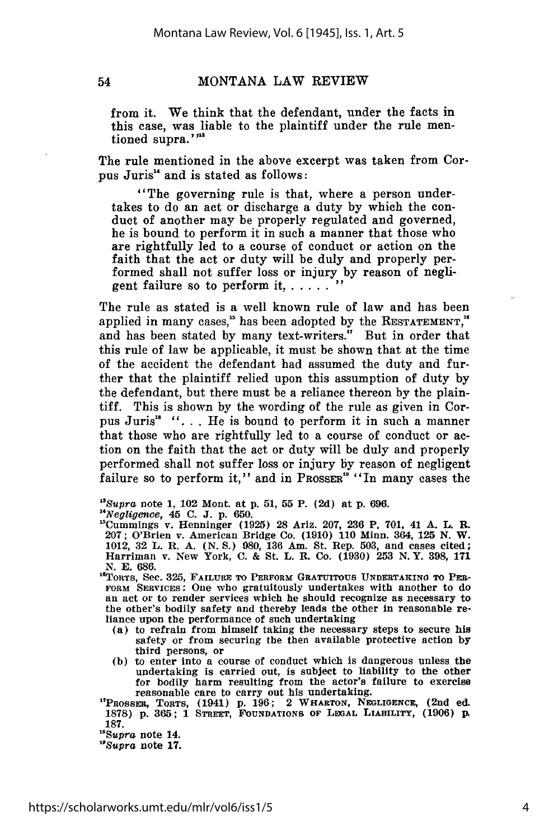54

#### MONTANA LAW REVIEW

from it. We think that the defendant, under the facts in this case, was liable to the plaintiff under the rule mentioned supra."<sup>223</sup>

The rule mentioned in the above excerpt was taken from Corpus Juris" and is stated as follows:

"The governing rule is that, where a person undertakes to do an act or discharge a duty by which the conduct of another may be properly regulated and governed, he is bound to perform it in such a manner that those who are rightfully led to a course of conduct or action on the faith that the act or duty will be duly and properly performed shall not suffer loss or injury by reason of negligent failure so to perform it,  $\ldots$ .

The rule as stated is a well known rule of law and has been applied in many cases,<sup>15</sup> has been adopted by the RESTATEMENT,<sup>16</sup> and has been stated by many text-writers." But in order that this rule of law be applicable, it must be shown that at the time of the accident the defendant had assumed the duty and further that the plaintiff relied upon this assumption of duty by the defendant, but there must be a reliance thereon by the plaintiff. This is shown by the wording of the rule as given in Corpus Juris<sup>18</sup> "... He is bound to perform it in such a manner that those who are rightfully led to a course of conduct or action on the faith that the act or duty will be duly and properly performed shall not suffer loss or injury by reason of negligent failure so to perform it," and in PROSSER<sup>16</sup> "In many cases the

*"Supra* note **1,** 102 Mont. at **p. 51, 55** P. (2d) at **p.** 696.

*" 4 Negligence,* 45 C. J. p. 650.

'Cummings v. Henninger (1925) 28 Ariz. 207, 236 P. 701, 41 **A.** L. **R.** 207; O'Brien v. American Bridge Co. (1910) 110 Minn. 364, **125** N. W. 1012, 32 L. R. A. (N. S.) 980, 136 Am. St. Rep. 503, and cases cited; Harriman v. New York, C. & St. L. R. Co. (1930) **253** N.Y. 398, 171 N. E. 686.

"TORTS, See. 325, **FAILURE TO PERFORM GRATUITOUS UNDERTAKING TO** PER-**FORM SERVICEs:** One who gratuitously undertakes with another to do an act or to render services which he should recognize as necessary to the other's bodily safety and thereby leads the other in reasonable reliance upon the performance of such undertaking

- (a) to refrain from himself taking the necessary steps to secure his safety or from securing the then available protective action **by**
- third persons, or **(b)** to enter into a course of conduct which is dangerous unless the undertaking is carried out, is subject to liability to the other for bodily harm resulting from the actor's failure to exercise reasonable care to carry out his undertaking.

'PRossmt, TORTS, (1941) **p. 196;** 2 **WHARTON, NEGLIGENCE,** (2nd ed. 1878) **p. 365;** 1 **STREET, FOUNDATIONS OF LEGAL LIABILITY,** (1906) p. **187.**

*"Supra* note 14.

*"Supra* note **17.**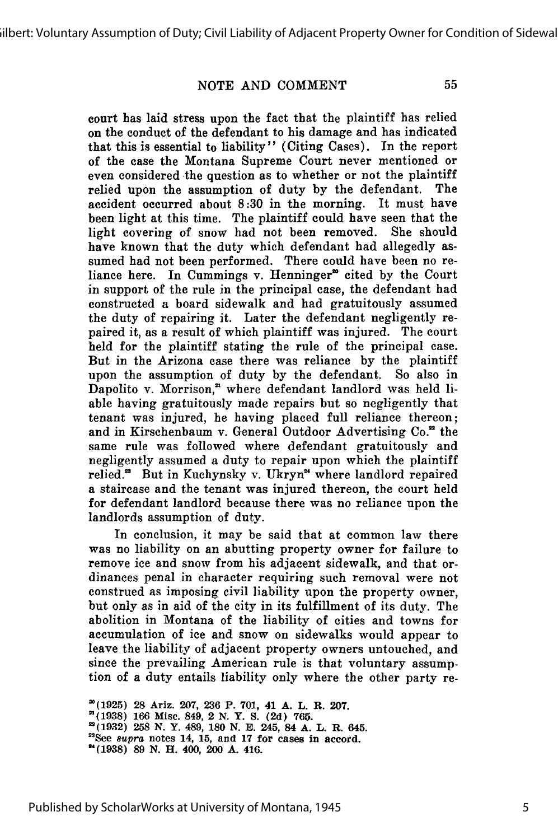#### NOTE AND COMMENT

55

court has laid stress upon the fact that the plaintiff has relied on the conduct of the defendant to his damage and has indicated that this is essential to liability" (Citing Cases). In the report of the case the Montana Supreme Court never mentioned or even considered the question as to whether or not the plaintiff relied upon the assumption of duty by the defendant. The accident occurred about 8:30 in the morning. It must have been light at this time. The plaintiff could have seen that the light covering of snow had not been removed. She should have known that the duty which defendant had allegedly assumed had not been performed. There could have been no reliance here. In Cummings v. Henninger<sup>®</sup> cited by the Court in support of the rule in the principal case, the defendant had constructed a board sidewalk and had gratuitously assumed the duty of repairing it. Later the defendant negligently repaired it, as a result of which plaintiff was injured. The court held for the plaintiff stating the rule of the principal case. But in the Arizona case there was reliance by the plaintiff upon the assumption of duty by the defendant. So also in Dapolito v. Morrison," where defendant landlord was held liable having gratuitously made repairs but so negligently that tenant was injured, he having placed full reliance thereon; and in Kirschenbaum v. General Outdoor Advertising Co." the same rule was followed where defendant gratuitously and negligently assumed a duty to repair upon which the plaintiff relied." But in Kuchynsky v. Ukryn" where landlord repaired a staircase and the tenant was injured thereon, the court held for defendant landlord because there was no reliance upon the landlords assumption of duty.

In conclusion, it may be said that at common law there was no liability on an abutting property owner for failure to remove ice and snow from his adjacent sidewalk, and that ordinances penal in character requiring such removal were not construed as imposing civil liability upon the property owner, but only as in aid of the city in its fulfillment of its duty. The abolition in Montana of the liability of cities and towns for accumulation of ice and snow on sidewalks would appear to leave the liability of adjacent property owners untouched, and since the prevailing American rule is that voluntary assumption of a duty entails liability only where the other party re-

**"**<br>(1925) 28 Ariz. 207, 226 D. 701, 41 A. T. D. 2007. **"**(1938) 166 Misc. 849, 2 N. Y. S. (2d) 765.<br>**"**(1932) 258 N. Y. 489, 180 N. E. 245, 84 A. L. R. 645. **"See aupra notes 14, 15, and 17 for cases in accord. (1938) 89 N. H. 400, 200 A. 416.**